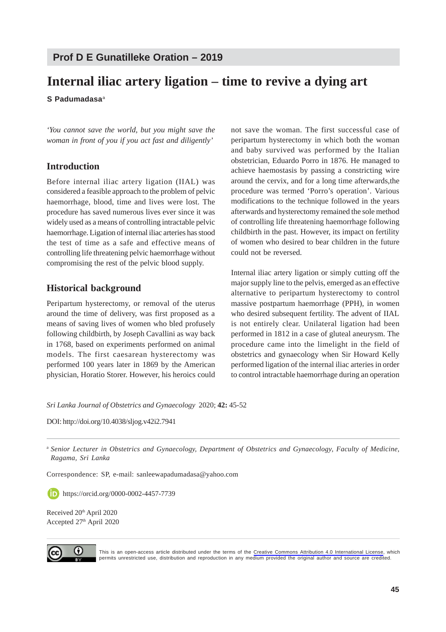# **Prof D E Gunatilleke Oration – 2019**

# **Internal iliac artery ligation – time to revive a dying art**

**S Padumadasa**<sup>a</sup>

*'You cannot save the world, but you might save the woman in front of you if you act fast and diligently'*

# **Introduction**

Before internal iliac artery ligation (IIAL) was considered a feasible approach to the problem of pelvic haemorrhage, blood, time and lives were lost. The procedure has saved numerous lives ever since it was widely used as a means of controlling intractable pelvic haemorrhage. Ligation of internal iliac arteries has stood the test of time as a safe and effective means of controlling life threatening pelvic haemorrhage without compromising the rest of the pelvic blood supply.

# **Historical background**

Peripartum hysterectomy, or removal of the uterus around the time of delivery, was first proposed as a means of saving lives of women who bled profusely following childbirth, by Joseph Cavallini as way back in 1768, based on experiments performed on animal models. The first caesarean hysterectomy was performed 100 years later in 1869 by the American physician, Horatio Storer. However, his heroics could

not save the woman. The first successful case of peripartum hysterectomy in which both the woman and baby survived was performed by the Italian obstetrician, Eduardo Porro in 1876. He managed to achieve haemostasis by passing a constricting wire around the cervix, and for a long time afterwards,the procedure was termed 'Porro's operation'. Various modifications to the technique followed in the years afterwards and hysterectomy remained the sole method of controlling life threatening haemorrhage following childbirth in the past. However, its impact on fertility of women who desired to bear children in the future could not be reversed.

Internal iliac artery ligation or simply cutting off the major supply line to the pelvis, emerged as an effective alternative to peripartum hysterectomy to control massive postpartum haemorrhage (PPH), in women who desired subsequent fertility. The advent of IIAL is not entirely clear. Unilateral ligation had been performed in 1812 in a case of gluteal aneurysm. The procedure came into the limelight in the field of obstetrics and gynaecology when Sir Howard Kelly performed ligation of the internal iliac arteries in order to control intractable haemorrhage during an operation

*Sri Lanka Journal of Obstetrics and Gynaecology* 2020; **42:** 45-52

DOI: http://doi.org/10.4038/sljog.v42i2.7941

<sup>a</sup> *Senior Lecturer in Obstetrics and Gynaecology, Department of Obstetrics and Gynaecology, Faculty of Medicine, Ragama, Sri Lanka*

Correspondence: SP, e-mail: sanleewapadumadasa@yahoo.com

https://orcid.org/0000-0002-4457-7739

Received 20<sup>th</sup> April 2020 Accepted 27th April 2020



This is an open-access article distributed under the terms of the [Creative Commons Attribution 4.0 International License](https://creativecommons.org/licenses/by/4.0/), which permits unrestricted use, distribution and reproduction in any medium provided the original author and source are credited.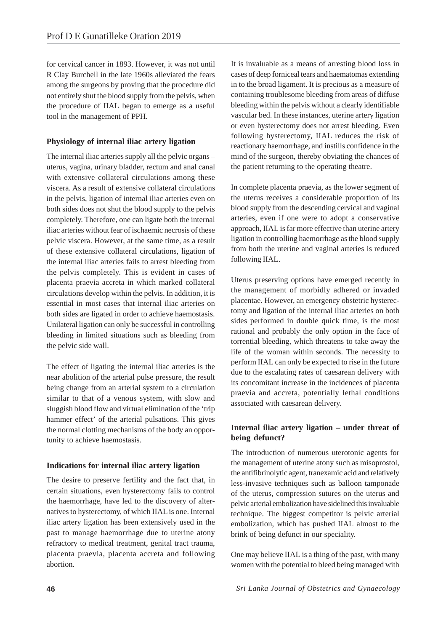for cervical cancer in 1893. However, it was not until R Clay Burchell in the late 1960s alleviated the fears among the surgeons by proving that the procedure did not entirely shut the blood supply from the pelvis, when the procedure of IIAL began to emerge as a useful tool in the management of PPH.

## **Physiology of internal iliac artery ligation**

The internal iliac arteries supply all the pelvic organs – uterus, vagina, urinary bladder, rectum and anal canal with extensive collateral circulations among these viscera. As a result of extensive collateral circulations in the pelvis, ligation of internal iliac arteries even on both sides does not shut the blood supply to the pelvis completely. Therefore, one can ligate both the internal iliac arteries without fear of ischaemic necrosis of these pelvic viscera. However, at the same time, as a result of these extensive collateral circulations, ligation of the internal iliac arteries fails to arrest bleeding from the pelvis completely. This is evident in cases of placenta praevia accreta in which marked collateral circulations develop within the pelvis. In addition, it is essential in most cases that internal iliac arteries on both sides are ligated in order to achieve haemostasis. Unilateral ligation can only be successful in controlling bleeding in limited situations such as bleeding from the pelvic side wall.

The effect of ligating the internal iliac arteries is the near abolition of the arterial pulse pressure, the result being change from an arterial system to a circulation similar to that of a venous system, with slow and sluggish blood flow and virtual elimination of the 'trip hammer effect' of the arterial pulsations. This gives the normal clotting mechanisms of the body an opportunity to achieve haemostasis.

## **Indications for internal iliac artery ligation**

The desire to preserve fertility and the fact that, in certain situations, even hysterectomy fails to control the haemorrhage, have led to the discovery of alternatives to hysterectomy, of which IIAL is one. Internal iliac artery ligation has been extensively used in the past to manage haemorrhage due to uterine atony refractory to medical treatment, genital tract trauma, placenta praevia, placenta accreta and following abortion.

It is invaluable as a means of arresting blood loss in cases of deep forniceal tears and haematomas extending in to the broad ligament. It is precious as a measure of containing troublesome bleeding from areas of diffuse bleeding within the pelvis without a clearly identifiable vascular bed. In these instances, uterine artery ligation or even hysterectomy does not arrest bleeding. Even following hysterectomy, IIAL reduces the risk of reactionary haemorrhage, and instills confidence in the mind of the surgeon, thereby obviating the chances of the patient returning to the operating theatre.

In complete placenta praevia, as the lower segment of the uterus receives a considerable proportion of its blood supply from the descending cervical and vaginal arteries, even if one were to adopt a conservative approach, IIAL is far more effective than uterine artery ligation in controlling haemorrhage as the blood supply from both the uterine and vaginal arteries is reduced following IIAL.

Uterus preserving options have emerged recently in the management of morbidly adhered or invaded placentae. However, an emergency obstetric hysterectomy and ligation of the internal iliac arteries on both sides performed in double quick time, is the most rational and probably the only option in the face of torrential bleeding, which threatens to take away the life of the woman within seconds. The necessity to perform IIAL can only be expected to rise in the future due to the escalating rates of caesarean delivery with its concomitant increase in the incidences of placenta praevia and accreta, potentially lethal conditions associated with caesarean delivery.

# **Internal iliac artery ligation – under threat of being defunct?**

The introduction of numerous uterotonic agents for the management of uterine atony such as misoprostol, the antifibrinolytic agent, tranexamic acid and relatively less-invasive techniques such as balloon tamponade of the uterus, compression sutures on the uterus and pelvic arterial embolization have sidelined this invaluable technique. The biggest competitor is pelvic arterial embolization, which has pushed IIAL almost to the brink of being defunct in our speciality.

One may believe IIAL is a thing of the past, with many women with the potential to bleed being managed with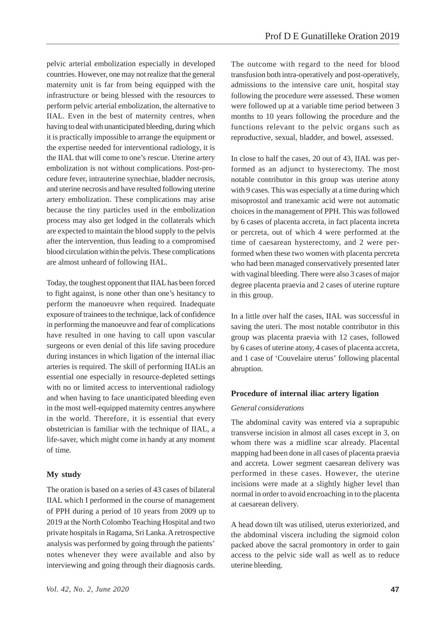pelvic arterial embolization especially in developed countries. However, one may not realize that the general maternity unit is far from being equipped with the infrastructure or being blessed with the resources to perform pelvic arterial embolization, the alternative to IIAL. Even in the best of maternity centres, when having to deal with unanticipated bleeding, during which it is practically impossible to arrange the equipment or the expertise needed for interventional radiology, it is the IIAL that will come to one's rescue. Uterine artery embolization is not without complications. Post-procedure fever, intrauterine synechiae, bladder necrosis, and uterine necrosis and have resulted following uterine artery embolization. These complications may arise because the tiny particles used in the embolization process may also get lodged in the collaterals which are expected to maintain the blood supply to the pelvis after the intervention, thus leading to a compromised blood circulation within the pelvis. These complications are almost unheard of following IIAL.

Today, the toughest opponent that IIAL has been forced to fight against, is none other than one's hesitancy to perform the manoeuvre when required. Inadequate exposure of trainees to the technique, lack of confidence in performing the manoeuvre and fear of complications have resulted in one having to call upon vascular surgeons or even denial of this life saving procedure during instances in which ligation of the internal iliac arteries is required. The skill of performing IIALis an essential one especially in resource-depleted settings with no or limited access to interventional radiology and when having to face unanticipated bleeding even in the most well-equipped maternity centres anywhere in the world. Therefore, it is essential that every obstetrician is familiar with the technique of IIAL, a life-saver, which might come in handy at any moment of time.

## **My study**

The oration is based on a series of 43 cases of bilateral IIAL which I performed in the course of management of PPH during a period of 10 years from 2009 up to 2019 at the North Colombo Teaching Hospital and two private hospitals in Ragama, Sri Lanka. A retrospective analysis was performed by going through the patients' notes whenever they were available and also by interviewing and going through their diagnosis cards.

The outcome with regard to the need for blood transfusion both intra-operatively and post-operatively, admissions to the intensive care unit, hospital stay following the procedure were assessed. These women were followed up at a variable time period between 3 months to 10 years following the procedure and the functions relevant to the pelvic organs such as reproductive, sexual, bladder, and bowel, assessed.

In close to half the cases, 20 out of 43, IIAL was performed as an adjunct to hysterectomy. The most notable contributor in this group was uterine atony with 9 cases. This was especially at a time during which misoprostol and tranexamic acid were not automatic choices in the management of PPH. This was followed by 6 cases of placenta accreta, in fact placenta increta or percreta, out of which 4 were performed at the time of caesarean hysterectomy, and 2 were performed when these two women with placenta percreta who had been managed conservatively presented later with vaginal bleeding. There were also 3 cases of major degree placenta praevia and 2 cases of uterine rupture in this group.

In a little over half the cases, IIAL was successful in saving the uteri. The most notable contributor in this group was placenta praevia with 12 cases, followed by 6 cases of uterine atony, 4 cases of placenta accreta, and 1 case of 'Couvelaire uterus' following placental abruption.

#### **Procedure of internal iliac artery ligation**

#### *General considerations*

The abdominal cavity was entered via a suprapubic transverse incision in almost all cases except in 3, on whom there was a midline scar already. Placental mapping had been done in all cases of placenta praevia and accreta. Lower segment caesarean delivery was performed in these cases. However, the uterine incisions were made at a slightly higher level than normal in order to avoid encroaching in to the placenta at caesarean delivery.

A head down tilt was utilised, uterus exteriorized, and the abdominal viscera including the sigmoid colon packed above the sacral promontory in order to gain access to the pelvic side wall as well as to reduce uterine bleeding.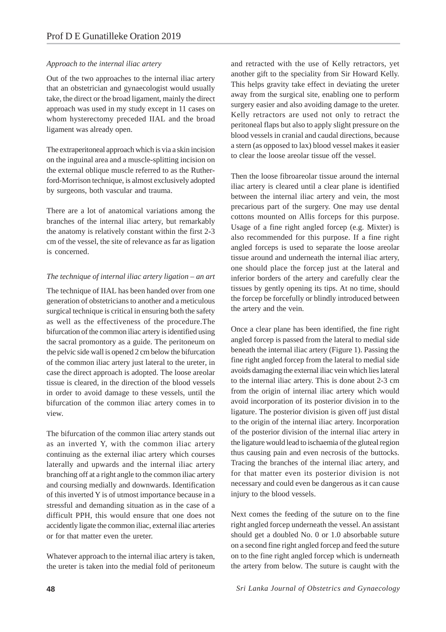## *Approach to the internal iliac artery*

Out of the two approaches to the internal iliac artery that an obstetrician and gynaecologist would usually take, the direct or the broad ligament, mainly the direct approach was used in my study except in 11 cases on whom hysterectomy preceded IIAL and the broad ligament was already open.

The extraperitoneal approach which is via a skin incision on the inguinal area and a muscle-splitting incision on the external oblique muscle referred to as the Rutherford-Morrison technique, is almost exclusively adopted by surgeons, both vascular and trauma.

There are a lot of anatomical variations among the branches of the internal iliac artery, but remarkably the anatomy is relatively constant within the first 2-3 cm of the vessel, the site of relevance as far as ligation is concerned.

#### *The technique of internal iliac artery ligation – an art*

The technique of IIAL has been handed over from one generation of obstetricians to another and a meticulous surgical technique is critical in ensuring both the safety as well as the effectiveness of the procedure.The bifurcation of the common iliac artery is identified using the sacral promontory as a guide. The peritoneum on the pelvic side wall is opened 2 cm below the bifurcation of the common iliac artery just lateral to the ureter, in case the direct approach is adopted. The loose areolar tissue is cleared, in the direction of the blood vessels in order to avoid damage to these vessels, until the bifurcation of the common iliac artery comes in to view.

The bifurcation of the common iliac artery stands out as an inverted Y, with the common iliac artery continuing as the external iliac artery which courses laterally and upwards and the internal iliac artery branching off at a right angle to the common iliac artery and coursing medially and downwards. Identification of this inverted Y is of utmost importance because in a stressful and demanding situation as in the case of a difficult PPH, this would ensure that one does not accidently ligate the common iliac, external iliac arteries or for that matter even the ureter.

Whatever approach to the internal iliac artery is taken, the ureter is taken into the medial fold of peritoneum and retracted with the use of Kelly retractors, yet another gift to the speciality from Sir Howard Kelly. This helps gravity take effect in deviating the ureter away from the surgical site, enabling one to perform surgery easier and also avoiding damage to the ureter. Kelly retractors are used not only to retract the peritoneal flaps but also to apply slight pressure on the blood vessels in cranial and caudal directions, because a stern (as opposed to lax) blood vessel makes it easier to clear the loose areolar tissue off the vessel.

Then the loose fibroareolar tissue around the internal iliac artery is cleared until a clear plane is identified between the internal iliac artery and vein, the most precarious part of the surgery. One may use dental cottons mounted on Allis forceps for this purpose. Usage of a fine right angled forcep (e.g. Mixter) is also recommended for this purpose. If a fine right angled forceps is used to separate the loose areolar tissue around and underneath the internal iliac artery, one should place the forcep just at the lateral and inferior borders of the artery and carefully clear the tissues by gently opening its tips. At no time, should the forcep be forcefully or blindly introduced between the artery and the vein.

Once a clear plane has been identified, the fine right angled forcep is passed from the lateral to medial side beneath the internal iliac artery (Figure 1). Passing the fine right angled forcep from the lateral to medial side avoids damaging the external iliac vein which lies lateral to the internal iliac artery. This is done about 2-3 cm from the origin of internal iliac artery which would avoid incorporation of its posterior division in to the ligature. The posterior division is given off just distal to the origin of the internal iliac artery. Incorporation of the posterior division of the internal iliac artery in the ligature would lead to ischaemia of the gluteal region thus causing pain and even necrosis of the buttocks. Tracing the branches of the internal iliac artery, and for that matter even its posterior division is not necessary and could even be dangerous as it can cause injury to the blood vessels.

Next comes the feeding of the suture on to the fine right angled forcep underneath the vessel. An assistant should get a doubled No. 0 or 1.0 absorbable suture on a second fine right angled forcep and feed the suture on to the fine right angled forcep which is underneath the artery from below. The suture is caught with the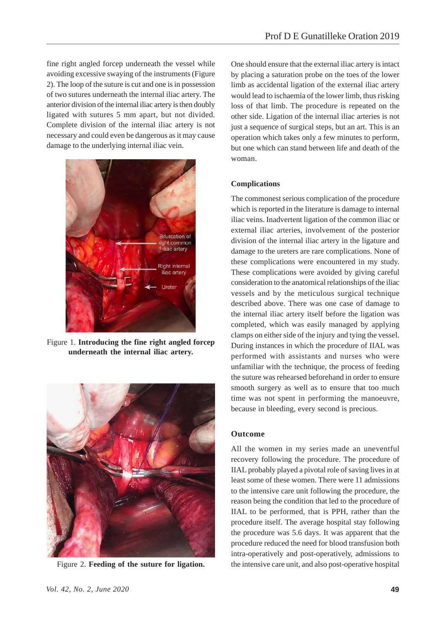fine right angled forcep underneath the vessel while avoiding excessive swaying of the instruments (Figure 2). The loop of the suture is cut and one is in possession of two sutures underneath the internal iliac artery. The anterior division of the internal iliac artery is then doubly ligated with sutures 5 mm apart, but not divided. Complete division of the internal iliac artery is not necessary and could even be dangerous as it may cause damage to the underlying internal iliac vein.



Figure 1. **Introducing the fine right angled forcep underneath the internal iliac artery.**



One should ensure that the external iliac artery is intact by placing a saturation probe on the toes of the lower limb as accidental ligation of the external iliac artery would lead to ischaemia of the lower limb, thus risking loss of that limb. The procedure is repeated on the other side. Ligation of the internal iliac arteries is not just a sequence of surgical steps, but an art. This is an operation which takes only a few minutes to perform, but one which can stand between life and death of the woman.

#### **Complications**

The commonest serious complication of the procedure which is reported in the literature is damage to internal iliac veins. Inadvertent ligation of the common iliac or external iliac arteries, involvement of the posterior division of the internal iliac artery in the ligature and damage to the ureters are rare complications. None of these complications were encountered in my study. These complications were avoided by giving careful consideration to the anatomical relationships of the iliac vessels and by the meticulous surgical technique described above. There was one case of damage to the internal iliac artery itself before the ligation was completed, which was easily managed by applying clamps on either side of the injury and tying the vessel. During instances in which the procedure of IIAL was performed with assistants and nurses who were unfamiliar with the technique, the process of feeding the suture was rehearsed beforehand in order to ensure smooth surgery as well as to ensure that too much time was not spent in performing the manoeuvre, because in bleeding, every second is precious.

#### **Outcome**

All the women in my series made an uneventful recovery following the procedure. The procedure of IIAL probably played a pivotal role of saving lives in at least some of these women. There were 11 admissions to the intensive care unit following the procedure, the reason being the condition that led to the procedure of IIAL to be performed, that is PPH, rather than the procedure itself. The average hospital stay following the procedure was 5.6 days. It was apparent that the procedure reduced the need for blood transfusion both intra-operatively and post-operatively, admissions to Figure 2. **Feeding of the suture for ligation.** the intensive care unit, and also post-operative hospital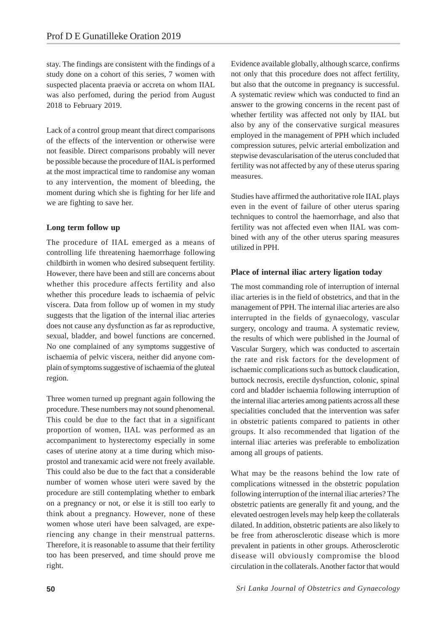stay. The findings are consistent with the findings of a study done on a cohort of this series, 7 women with suspected placenta praevia or accreta on whom IIAL was also perfomed, during the period from August 2018 to February 2019.

Lack of a control group meant that direct comparisons of the effects of the intervention or otherwise were not feasible. Direct comparisons probably will never be possible because the procedure of IIAL is performed at the most impractical time to randomise any woman to any intervention, the moment of bleeding, the moment during which she is fighting for her life and we are fighting to save her.

# **Long term follow up**

The procedure of IIAL emerged as a means of controlling life threatening haemorrhage following childbirth in women who desired subsequent fertility. However, there have been and still are concerns about whether this procedure affects fertility and also whether this procedure leads to ischaemia of pelvic viscera. Data from follow up of women in my study suggests that the ligation of the internal iliac arteries does not cause any dysfunction as far as reproductive, sexual, bladder, and bowel functions are concerned. No one complained of any symptoms suggestive of ischaemia of pelvic viscera, neither did anyone complain of symptoms suggestive of ischaemia of the gluteal region.

Three women turned up pregnant again following the procedure. These numbers may not sound phenomenal. This could be due to the fact that in a significant proportion of women, IIAL was performed as an accompaniment to hysterectomy especially in some cases of uterine atony at a time during which misoprostol and tranexamic acid were not freely available. This could also be due to the fact that a considerable number of women whose uteri were saved by the procedure are still contemplating whether to embark on a pregnancy or not, or else it is still too early to think about a pregnancy. However, none of these women whose uteri have been salvaged, are experiencing any change in their menstrual patterns. Therefore, it is reasonable to assume that their fertility too has been preserved, and time should prove me right.

Evidence available globally, although scarce, confirms not only that this procedure does not affect fertility, but also that the outcome in pregnancy is successful. A systematic review which was conducted to find an answer to the growing concerns in the recent past of whether fertility was affected not only by IIAL but also by any of the conservative surgical measures employed in the management of PPH which included compression sutures, pelvic arterial embolization and stepwise devascularisation of the uterus concluded that fertility was not affected by any of these uterus sparing measures.

Studies have affirmed the authoritative role IIAL plays even in the event of failure of other uterus sparing techniques to control the haemorrhage, and also that fertility was not affected even when IIAL was combined with any of the other uterus sparing measures utilized in PPH.

# **Place of internal iliac artery ligation today**

The most commanding role of interruption of internal iliac arteries is in the field of obstetrics, and that in the management of PPH. The internal iliac arteries are also interrupted in the fields of gynaecology, vascular surgery, oncology and trauma. A systematic review, the results of which were published in the Journal of Vascular Surgery, which was conducted to ascertain the rate and risk factors for the development of ischaemic complications such as buttock claudication, buttock necrosis, erectile dysfunction, colonic, spinal cord and bladder ischaemia following interruption of the internal iliac arteries among patients across all these specialities concluded that the intervention was safer in obstetric patients compared to patients in other groups. It also recommended that ligation of the internal iliac arteries was preferable to embolization among all groups of patients.

What may be the reasons behind the low rate of complications witnessed in the obstetric population following interruption of the internal iliac arteries? The obstetric patients are generally fit and young, and the elevated oestrogen levels may help keep the collaterals dilated. In addition, obstetric patients are also likely to be free from atherosclerotic disease which is more prevalent in patients in other groups. Atherosclerotic disease will obviously compromise the blood circulation in the collaterals. Another factor that would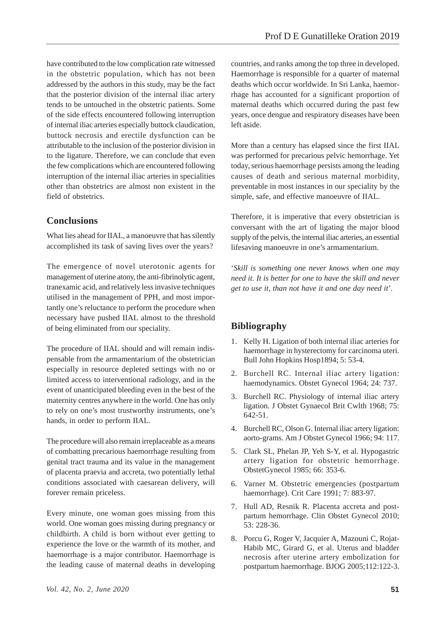have contributed to the low complication rate witnessed in the obstetric population, which has not been addressed by the authors in this study, may be the fact that the posterior division of the internal iliac artery tends to be untouched in the obstetric patients. Some of the side effects encountered following interruption of internal iliac arteries especially buttock claudication, buttock necrosis and erectile dysfunction can be attributable to the inclusion of the posterior division in to the ligature. Therefore, we can conclude that even the few complications which are encountered following interruption of the internal iliac arteries in specialities other than obstetrics are almost non existent in the field of obstetrics.

# **Conclusions**

What lies ahead for IIAL, a manoeuvre that has silently accomplished its task of saving lives over the years?

The emergence of novel uterotonic agents for management of uterine atony, the anti-fibrinolytic agent, tranexamic acid, and relatively less invasive techniques utilised in the management of PPH, and most importantly one's reluctance to perform the procedure when necessary have pushed IIAL almost to the threshold of being eliminated from our speciality.

The procedure of IIAL should and will remain indispensable from the armamentarium of the obstetrician especially in resource depleted settings with no or limited access to interventional radiology, and in the event of unanticipated bleeding even in the best of the maternity centres anywhere in the world. One has only to rely on one's most trustworthy instruments, one's hands, in order to perform IIAL.

The procedure will also remain irreplaceable as a means of combatting precarious haemorrhage resulting from genital tract trauma and its value in the management of placenta praevia and accreta, two potentially lethal conditions associated with caesarean delivery, will forever remain priceless.

Every minute, one woman goes missing from this world. One woman goes missing during pregnancy or childbirth. A child is born without ever getting to experience the love or the warmth of its mother, and haemorrhage is a major contributor. Haemorrhage is the leading cause of maternal deaths in developing

countries, and ranks among the top three in developed. Haemorrhage is responsible for a quarter of maternal deaths which occur worldwide. In Sri Lanka, haemorrhage has accounted for a significant proportion of maternal deaths which occurred during the past few years, once dengue and respiratory diseases have been left aside.

More than a century has elapsed since the first IIAL was performed for precarious pelvic hemorrhage. Yet today, serious haemorrhage persists among the leading causes of death and serious maternal morbidity, preventable in most instances in our speciality by the simple, safe, and effective manoeuvre of IIAL.

Therefore, it is imperative that every obstetrician is conversant with the art of ligating the major blood supply of the pelvis, the internal iliac arteries, an essential lifesaving manoeuvre in one's armamentarium.

'*Skill is something one never knows when one may need it. It is better for one to have the skill and never get to use it, than not have it and one day need it*'*.*

# **Bibliography**

- 1. Kelly H. Ligation of both internal iliac arteries for haemorrhage in hysterectomy for carcinoma uteri. Bull John Hopkins Hosp1894; 5: 53-4.
- 2. Burchell RC. Internal iliac artery ligation: haemodynamics. Obstet Gynecol 1964; 24: 737.
- 3. Burchell RC. Physiology of internal iliac artery ligation. J Obstet Gynaecol Brit Cwlth 1968; 75: 642-51.
- 4. Burchell RC, Olson G. Internal iliac artery ligation: aorto-grams. Am J Obstet Gynecol 1966; 94: 117.
- 5. Clark SL, Phelan JP, Yeh S-Y, et al. Hypogastric artery ligation for obstetric hemorrhage. ObstetGynecol 1985; 66: 353-6.
- 6. Varner M. Obstetric emergencies (postpartum haemorrhage). Crit Care 1991; 7: 883-97.
- 7. Hull AD, Resnik R. Placenta accreta and postpartum hemorrhage. Clin Obstet Gynecol 2010; 53: 228-36.
- 8. Porcu G, Roger V, Jacquier A, Mazouni C, Rojat-Habib MC, Girard G, et al. Uterus and bladder necrosis after uterine artery embolization for postpartum haemorrhage. BJOG 2005;112:122-3.